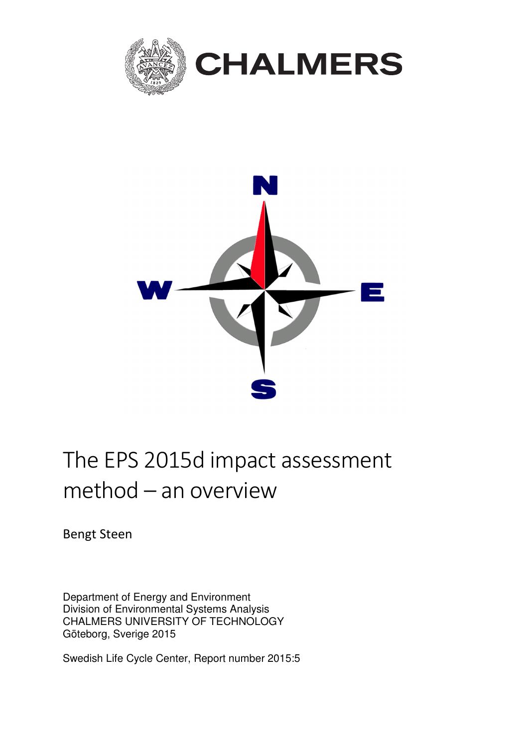



# The EPS 2015d impact assessment method – an overview

Bengt Steen

Department of Energy and Environment Division of Environmental Systems Analysis CHALMERS UNIVERSITY OF TECHNOLOGY Göteborg, Sverige 2015

Swedish Life Cycle Center, Report number 2015:5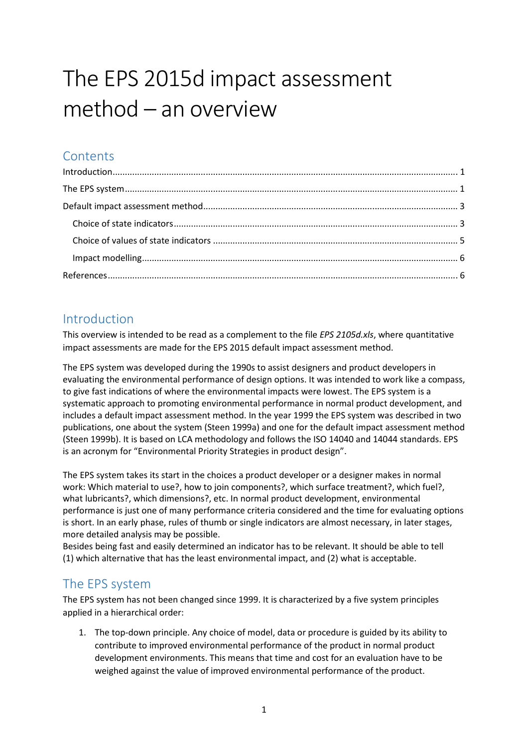# The EPS 2015d impact assessment method – an overview

## **Contents**

## Introduction

This overview is intended to be read as a complement to the file EPS 2105d.xls, where quantitative impact assessments are made for the EPS 2015 default impact assessment method.

The EPS system was developed during the 1990s to assist designers and product developers in evaluating the environmental performance of design options. It was intended to work like a compass, to give fast indications of where the environmental impacts were lowest. The EPS system is a systematic approach to promoting environmental performance in normal product development, and includes a default impact assessment method. In the year 1999 the EPS system was described in two publications, one about the system (Steen 1999a) and one for the default impact assessment method (Steen 1999b). It is based on LCA methodology and follows the ISO 14040 and 14044 standards. EPS is an acronym for "Environmental Priority Strategies in product design".

The EPS system takes its start in the choices a product developer or a designer makes in normal work: Which material to use?, how to join components?, which surface treatment?, which fuel?, what lubricants?, which dimensions?, etc. In normal product development, environmental performance is just one of many performance criteria considered and the time for evaluating options is short. In an early phase, rules of thumb or single indicators are almost necessary, in later stages, more detailed analysis may be possible.

Besides being fast and easily determined an indicator has to be relevant. It should be able to tell (1) which alternative that has the least environmental impact, and (2) what is acceptable.

## The EPS system

The EPS system has not been changed since 1999. It is characterized by a five system principles applied in a hierarchical order:

1. The top-down principle. Any choice of model, data or procedure is guided by its ability to contribute to improved environmental performance of the product in normal product development environments. This means that time and cost for an evaluation have to be weighed against the value of improved environmental performance of the product.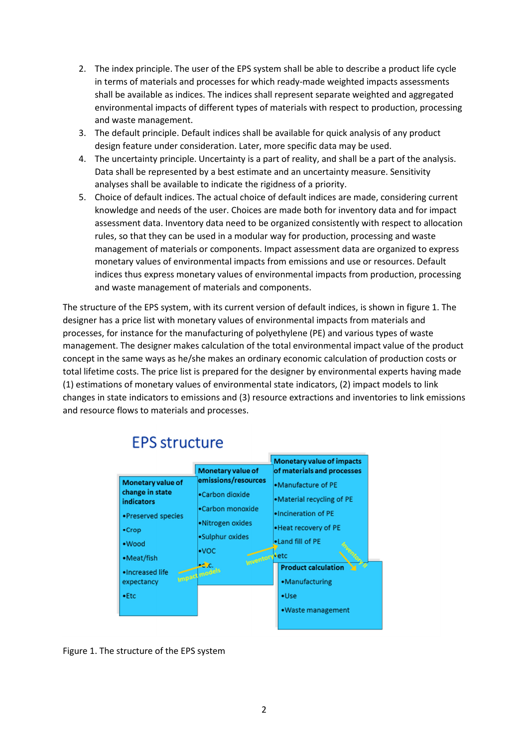- 2. The index principle. The user of the EPS system shall be able to describe a product life cycle in terms of materials and processes for which ready-made weighted impacts assessments shall be available as indices. The indices shall represent separate weighted and aggregated environmental impacts of different types of materials with respect to production, processing and waste management.
- 3. The default principle. Default indices shall be available for quick analysis of any product design feature under consideration. Later, more specific data may be used.
- 4. The uncertainty principle. Uncertainty is a part of reality, and shall be a part of the analysis. Data shall be represented by a best estimate and an uncertainty measure. Sensitivity analyses shall be available to indicate the rigidness of a priority.
- 5. Choice of default indices. The actual choice of default indices are made, considering current knowledge and needs of the user. Choices are made both for inventory data and for impact assessment data. Inventory data need to be organized consistently with respect to allocation rules, so that they can be used in a modular way for production, processing and waste management of materials or components. Impact assessment data are organized to express monetary values of environmental impacts from emissions and use or resources. Default indices thus express monetary values of environmental impacts from production, processing and waste management of materials and components.

The structure of the EPS system, with its current version of default indices, is shown in figure 1. The designer has a price list with monetary values of environmental impacts from materials and processes, for instance for the manufacturing of polyethylene (PE) and various types of waste management. The designer makes calculation of the total environmental impact value of the product concept in the same ways as he/she makes an ordinary economic calculation of production costs or total lifetime costs. The price list is prepared for the designer by environmental experts having made (1) estimations of monetary values of environmental state indicators, (2) impact models to link changes in state indicators to emissions and (3) resource extractions and inventories to link emissions and resource flows to materials and processes.

|                               |                                           | <b>Monetary value of impacts</b>                                                                |  |  |
|-------------------------------|-------------------------------------------|-------------------------------------------------------------------------------------------------|--|--|
|                               | <b>Monetary value of</b>                  | of materials and processes                                                                      |  |  |
| Monetary value of             | emissions/resources                       | •Manufacture of PE                                                                              |  |  |
| change in state<br>indicators | •Carbon dioxide                           | •Material recycling of PE<br>. Incineration of PE<br>. Heat recovery of PE<br>. Land fill of PE |  |  |
| •Preserved species            | •Carbon monoxide                          |                                                                                                 |  |  |
| $\cdot$ Crop                  | •Nitrogen oxides                          |                                                                                                 |  |  |
| •Wood                         | •Sulphur oxides                           |                                                                                                 |  |  |
| •Meat/fish                    | $\cdot$ voc<br>Inventory <sup>b</sup> etc |                                                                                                 |  |  |
| . Increased life              | ec.c.                                     | <b>Product calculation</b>                                                                      |  |  |
| expectancy                    | <b>Impact models</b>                      | •Manufacturing                                                                                  |  |  |
| $\bullet$ Etc                 |                                           | •Use                                                                                            |  |  |
|                               |                                           | • Waste management                                                                              |  |  |
|                               |                                           |                                                                                                 |  |  |

## **EPS structure**

Figure 1. The structure of the EPS system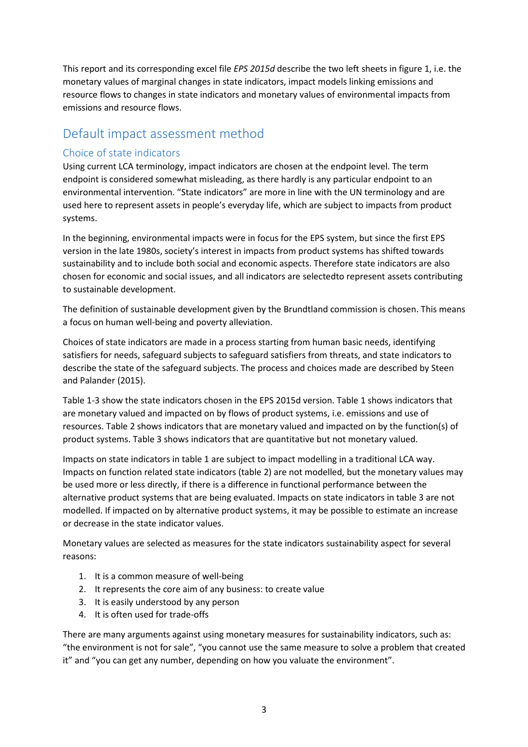This report and its corresponding excel file *EPS 2015d* describe the two left sheets in figure 1, i.e. the monetary values of marginal changes in state indicators, impact models linking emissions and resource flows to changes in state indicators and monetary values of environmental impacts from emissions and resource flows.

### Default impact assessment method

#### Choice of state indicators

Using current LCA terminology, impact indicators are chosen at the endpoint level. The term endpoint is considered somewhat misleading, as there hardly is any particular endpoint to an environmental intervention. "State indicators" are more in line with the UN terminology and are used here to represent assets in people's everyday life, which are subject to impacts from product systems.

In the beginning, environmental impacts were in focus for the EPS system, but since the first EPS version in the late 1980s, society's interest in impacts from product systems has shifted towards sustainability and to include both social and economic aspects. Therefore state indicators are also chosen for economic and social issues, and all indicators are selectedto represent assets contributing to sustainable development.

The definition of sustainable development given by the Brundtland commission is chosen. This means a focus on human well-being and poverty alleviation.

Choices of state indicators are made in a process starting from human basic needs, identifying satisfiers for needs, safeguard subjects to safeguard satisfiers from threats, and state indicators to describe the state of the safeguard subjects. The process and choices made are described by Steen and Palander (2015).

Table 1-3 show the state indicators chosen in the EPS 2015d version. Table 1 shows indicators that are monetary valued and impacted on by flows of product systems, i.e. emissions and use of resources. Table 2 shows indicators that are monetary valued and impacted on by the function(s) of product systems. Table 3 shows indicators that are quantitative but not monetary valued.

Impacts on state indicators in table 1 are subject to impact modelling in a traditional LCA way. Impacts on function related state indicators (table 2) are not modelled, but the monetary values may be used more or less directly, if there is a difference in functional performance between the alternative product systems that are being evaluated. Impacts on state indicators in table 3 are not modelled. If impacted on by alternative product systems, it may be possible to estimate an increase or decrease in the state indicator values.

Monetary values are selected as measures for the state indicators sustainability aspect for several reasons:

- 1. It is a common measure of well-being
- 2. It represents the core aim of any business: to create value
- 3. It is easily understood by any person
- 4. It is often used for trade-offs

There are many arguments against using monetary measures for sustainability indicators, such as: "the environment is not for sale", "you cannot use the same measure to solve a problem that created it" and "you can get any number, depending on how you valuate the environment".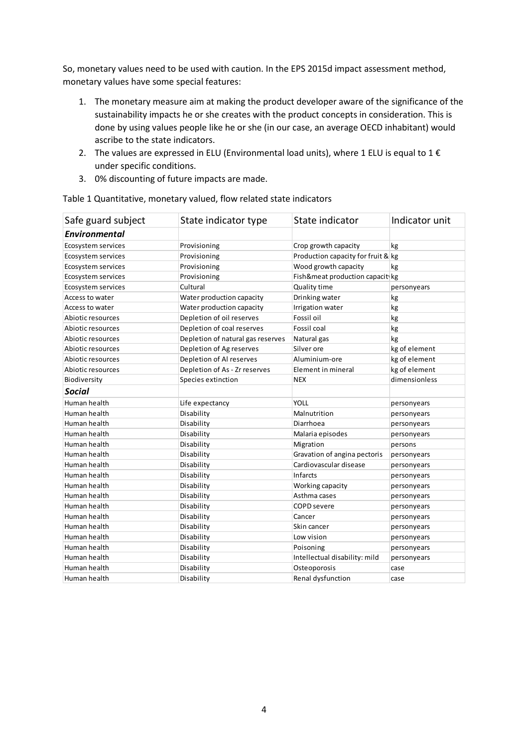So, monetary values need to be used with caution. In the EPS 2015d impact assessment method, monetary values have some special features:

- 1. The monetary measure aim at making the product developer aware of the significance of the sustainability impacts he or she creates with the product concepts in consideration. This is done by using values people like he or she (in our case, an average OECD inhabitant) would ascribe to the state indicators.
- 2. The values are expressed in ELU (Environmental load units), where 1 ELU is equal to 1 $\epsilon$ under specific conditions.
- 3. 0% discounting of future impacts are made.

| Safe guard subject | State indicator type              | State indicator                    | Indicator unit |
|--------------------|-----------------------------------|------------------------------------|----------------|
| Environmental      |                                   |                                    |                |
| Ecosystem services | Provisioning                      | Crop growth capacity               | kg             |
| Ecosystem services | Provisioning                      | Production capacity for fruit & kg |                |
| Ecosystem services | Provisioning                      | Wood growth capacity               | kg             |
| Ecosystem services | Provisioning                      | Fish&meat production capacit kg    |                |
| Ecosystem services | Cultural                          | Quality time                       | personyears    |
| Access to water    | Water production capacity         | Drinking water                     | kg             |
| Access to water    | Water production capacity         | Irrigation water                   | kg             |
| Abiotic resources  | Depletion of oil reserves         | Fossil oil                         | kg             |
| Abiotic resources  | Depletion of coal reserves        | Fossil coal                        | kg             |
| Abiotic resources  | Depletion of natural gas reserves | Natural gas                        | kg             |
| Abiotic resources  | Depletion of Ag reserves          | Silver ore                         | kg of element  |
| Abiotic resources  | Depletion of Al reserves          | Aluminium-ore                      | kg of element  |
| Abiotic resources  | Depletion of As - Zr reserves     | Element in mineral                 | kg of element  |
| Biodiversity       | Species extinction                | <b>NEX</b>                         | dimensionless  |
| <b>Social</b>      |                                   |                                    |                |
| Human health       | Life expectancy                   | <b>YOLL</b>                        | personyears    |
| Human health       | Disability                        | Malnutrition                       | personyears    |
| Human health       | Disability                        | Diarrhoea                          | personyears    |
| Human health       | Disability                        | Malaria episodes                   | personyears    |
| Human health       | Disability                        | Migration                          | persons        |
| Human health       | Disability                        | Gravation of angina pectoris       | personyears    |
| Human health       | Disability                        | Cardiovascular disease             | personyears    |
| Human health       | Disability                        | Infarcts                           | personyears    |
| Human health       | Disability                        | Working capacity                   | personyears    |
| Human health       | Disability                        | Asthma cases                       | personyears    |
| Human health       | Disability                        | <b>COPD</b> severe                 | personyears    |
| Human health       | Disability                        | Cancer                             | personyears    |
| Human health       | Disability                        | Skin cancer                        | personyears    |
| Human health       | Disability                        | Low vision                         | personyears    |
| Human health       | Disability                        | Poisoning                          | personyears    |
| Human health       | Disability                        | Intellectual disability: mild      | personyears    |
| Human health       | Disability                        | Osteoporosis                       | case           |
| Human health       | Disability                        | Renal dysfunction                  | case           |

Table 1 Quantitative, monetary valued, flow related state indicators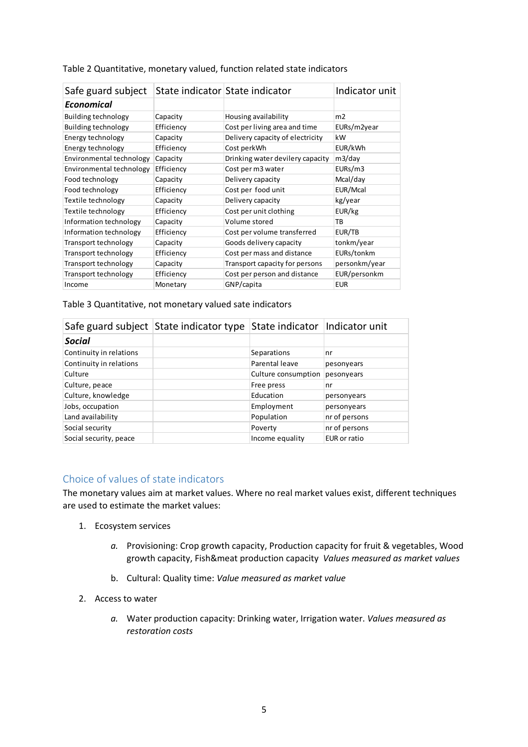| Safe guard subject       |            | State indicator State indicator  | Indicator unit |
|--------------------------|------------|----------------------------------|----------------|
| Economical               |            |                                  |                |
| Building technology      | Capacity   | Housing availability             | m2             |
| Building technology      | Efficiency | Cost per living area and time    | EURs/m2year    |
| Energy technology        | Capacity   | Delivery capacity of electricity | kW             |
| Energy technology        | Efficiency | Cost perkWh                      | EUR/kWh        |
| Environmental technology | Capacity   | Drinking water devilery capacity | m3/day         |
| Environmental technology | Efficiency | Cost per m3 water                | EURs/m3        |
| Food technology          | Capacity   | Delivery capacity                | Mcal/day       |
| Food technology          | Efficiency | Cost per food unit               | EUR/Mcal       |
| Textile technology       | Capacity   | Delivery capacity                | kg/year        |
| Textile technology       | Efficiency | Cost per unit clothing           | EUR/kg         |
| Information technology   | Capacity   | Volume stored                    | TB             |
| Information technology   | Efficiency | Cost per volume transferred      | EUR/TB         |
| Transport technology     | Capacity   | Goods delivery capacity          | tonkm/year     |
| Transport technology     | Efficiency | Cost per mass and distance       | EURs/tonkm     |
| Transport technology     | Capacity   | Transport capacity for persons   | personkm/year  |
| Transport technology     | Efficiency | Cost per person and distance     | EUR/personkm   |
| Income                   | Monetary   | GNP/capita                       | <b>EUR</b>     |

#### Table 2 Quantitative, monetary valued, function related state indicators

Table 3 Quantitative, not monetary valued sate indicators

|                         | Safe guard subject State indicator type State indicator Indicator unit |                     |               |
|-------------------------|------------------------------------------------------------------------|---------------------|---------------|
| <b>Social</b>           |                                                                        |                     |               |
| Continuity in relations |                                                                        | Separations         | nr            |
| Continuity in relations |                                                                        | Parental leave      | pesonyears    |
| Culture                 |                                                                        | Culture consumption | pesonyears    |
| Culture, peace          |                                                                        | Free press          | nr            |
| Culture, knowledge      |                                                                        | Education           | personyears   |
| Jobs, occupation        |                                                                        | Employment          | personyears   |
| Land availability       |                                                                        | Population          | nr of persons |
| Social security         |                                                                        | Poverty             | nr of persons |
| Social security, peace  |                                                                        | Income equality     | EUR or ratio  |

#### Choice of values of state indicators

The monetary values aim at market values. Where no real market values exist, different techniques are used to estimate the market values:

- 1. Ecosystem services
	- a. Provisioning: Crop growth capacity, Production capacity for fruit & vegetables, Wood growth capacity, Fish&meat production capacity Values measured as market values
	- b. Cultural: Quality time: Value measured as market value
- 2. Access to water
	- a. Water production capacity: Drinking water, Irrigation water. Values measured as restoration costs